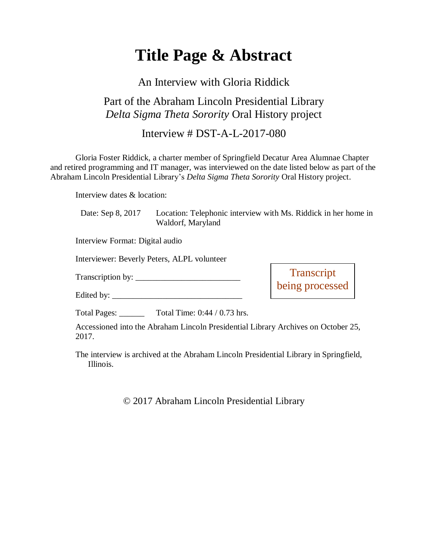# **Title Page & Abstract**

### An Interview with Gloria Riddick

## Part of the Abraham Lincoln Presidential Library *Delta Sigma Theta Sorority* Oral History project

#### Interview # DST-A-L-2017-080

Gloria Foster Riddick, a charter member of Springfield Decatur Area Alumnae Chapter and retired programming and IT manager, was interviewed on the date listed below as part of the Abraham Lincoln Presidential Library's *Delta Sigma Theta Sorority* Oral History project.

Interview dates & location:

| Date: Sep 8, 2017 | Location: Telephonic interview with Ms. Riddick in her home in |
|-------------------|----------------------------------------------------------------|
|                   | Waldorf, Maryland                                              |

Interview Format: Digital audio

Interviewer: Beverly Peters, ALPL volunteer

Transcription by: \_\_\_\_\_\_\_\_\_\_\_\_\_\_\_\_\_\_\_\_\_\_\_\_\_

Edited by: \_\_\_\_\_\_\_\_\_\_\_\_\_\_\_\_\_\_\_\_\_\_\_\_\_\_\_\_\_\_\_

**Transcript** being processed

Total Pages: Total Time: 0:44 / 0.73 hrs.

Accessioned into the Abraham Lincoln Presidential Library Archives on October 25, 2017.

The interview is archived at the Abraham Lincoln Presidential Library in Springfield, Illinois.

© 2017 Abraham Lincoln Presidential Library